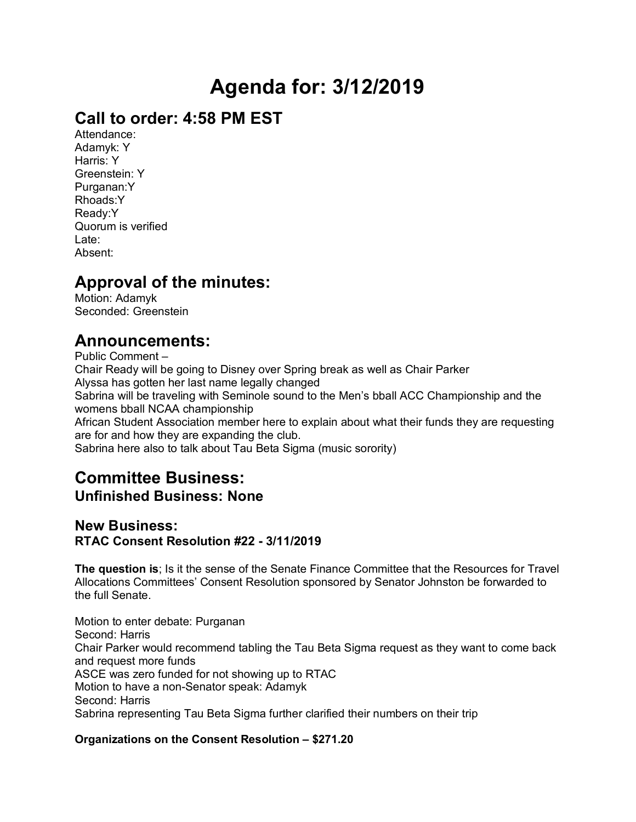# **Agenda for: 3/12/2019**

### **Call to order: 4:58 PM EST**

Attendance: Adamyk: Y Harris: Y Greenstein: Y Purganan:Y Rhoads:Y Ready:Y Quorum is verified Late: Absent:

## **Approval of the minutes:**

Motion: Adamyk Seconded: Greenstein

### **Announcements:**

Public Comment – Chair Ready will be going to Disney over Spring break as well as Chair Parker Alyssa has gotten her last name legally changed Sabrina will be traveling with Seminole sound to the Men's bball ACC Championship and the womens bball NCAA championship African Student Association member here to explain about what their funds they are requesting are for and how they are expanding the club. Sabrina here also to talk about Tau Beta Sigma (music sorority)

# **Committee Business:**

### **Unfinished Business: None**

#### **New Business: RTAC Consent Resolution #22 - 3/11/2019**

**The question is**; Is it the sense of the Senate Finance Committee that the Resources for Travel Allocations Committees' Consent Resolution sponsored by Senator Johnston be forwarded to the full Senate.

Motion to enter debate: Purganan Second: Harris Chair Parker would recommend tabling the Tau Beta Sigma request as they want to come back and request more funds ASCE was zero funded for not showing up to RTAC Motion to have a non-Senator speak: Adamyk Second: Harris Sabrina representing Tau Beta Sigma further clarified their numbers on their trip

#### **Organizations on the Consent Resolution – \$271.20**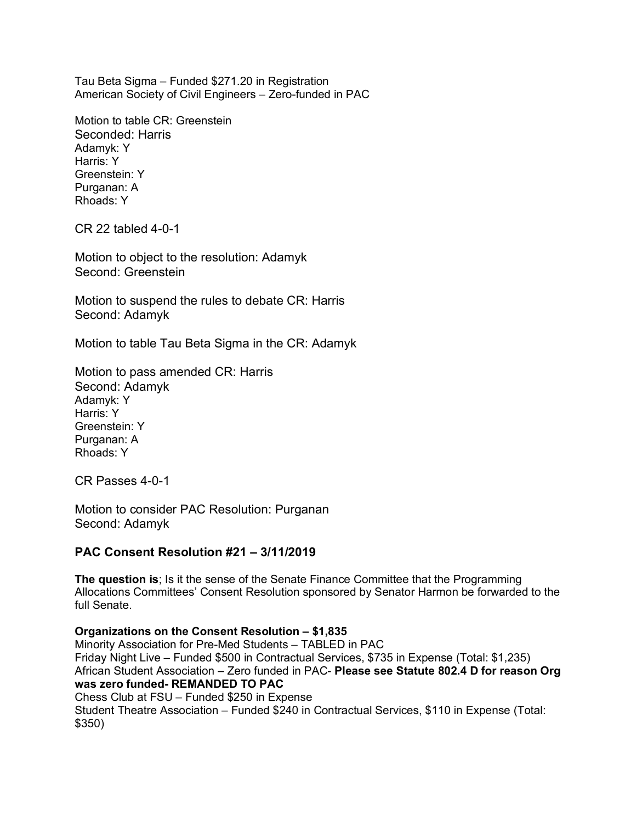Tau Beta Sigma – Funded \$271.20 in Registration American Society of Civil Engineers – Zero-funded in PAC

Motion to table CR: Greenstein Seconded: Harris Adamyk: Y Harris: Y Greenstein: Y Purganan: A Rhoads: Y

CR 22 tabled 4-0-1

Motion to object to the resolution: Adamyk Second: Greenstein

Motion to suspend the rules to debate CR: Harris Second: Adamyk

Motion to table Tau Beta Sigma in the CR: Adamyk

Motion to pass amended CR: Harris Second: Adamyk Adamyk: Y Harris: Y Greenstein: Y Purganan: A Rhoads: Y

CR Passes 4-0-1

Motion to consider PAC Resolution: Purganan Second: Adamyk

#### **PAC Consent Resolution #21 – 3/11/2019**

**The question is**; Is it the sense of the Senate Finance Committee that the Programming Allocations Committees' Consent Resolution sponsored by Senator Harmon be forwarded to the full Senate.

**Organizations on the Consent Resolution – \$1,835** Minority Association for Pre-Med Students – TABLED in PAC Friday Night Live – Funded \$500 in Contractual Services, \$735 in Expense (Total: \$1,235) African Student Association – Zero funded in PAC- **Please see Statute 802.4 D for reason Org was zero funded- REMANDED TO PAC** Chess Club at FSU – Funded \$250 in Expense Student Theatre Association – Funded \$240 in Contractual Services, \$110 in Expense (Total: \$350)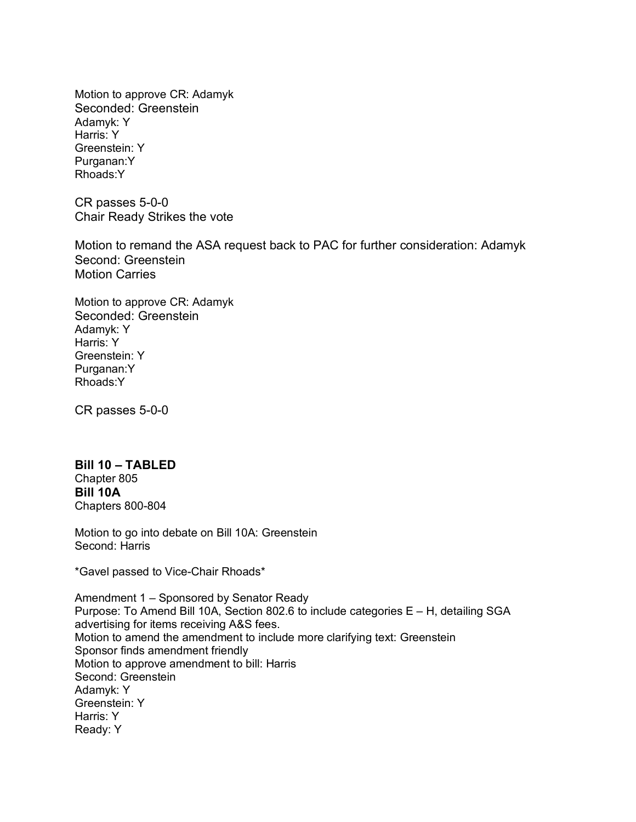Motion to approve CR: Adamyk Seconded: Greenstein Adamyk: Y Harris: Y Greenstein: Y Purganan:Y Rhoads:Y

CR passes 5-0-0 Chair Ready Strikes the vote

Motion to remand the ASA request back to PAC for further consideration: Adamyk Second: Greenstein Motion Carries

Motion to approve CR: Adamyk Seconded: Greenstein Adamyk: Y Harris: Y Greenstein: Y Purganan:Y Rhoads:Y

CR passes 5-0-0

#### **Bill 10 – TABLED** Chapter 805 **Bill 10A** Chapters 800-804

Motion to go into debate on Bill 10A: Greenstein Second: Harris

\*Gavel passed to Vice-Chair Rhoads\*

Amendment 1 – Sponsored by Senator Ready Purpose: To Amend Bill 10A, Section 802.6 to include categories E – H, detailing SGA advertising for items receiving A&S fees. Motion to amend the amendment to include more clarifying text: Greenstein Sponsor finds amendment friendly Motion to approve amendment to bill: Harris Second: Greenstein Adamyk: Y Greenstein: Y Harris: Y Ready: Y